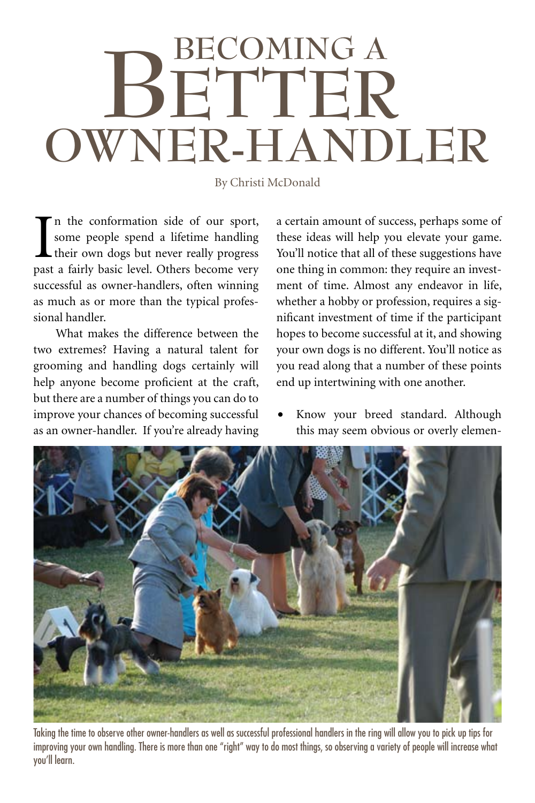## **Owner-Handler BETTER Becoming a**

By Christi McDonald

In the conformation side of our sport,<br>some people spend a lifetime handling<br>their own dogs but never really progress<br>past a fairly basic level. Others become very n the conformation side of our sport, some people spend a lifetime handling their own dogs but never really progress successful as owner-handlers, often winning as much as or more than the typical professional handler.

What makes the difference between the two extremes? Having a natural talent for grooming and handling dogs certainly will help anyone become proficient at the craft, but there are a number of things you can do to improve your chances of becoming successful as an owner-handler. If you're already having

a certain amount of success, perhaps some of these ideas will help you elevate your game. You'll notice that all of these suggestions have one thing in common: they require an investment of time. Almost any endeavor in life, whether a hobby or profession, requires a significant investment of time if the participant hopes to become successful at it, and showing your own dogs is no different. You'll notice as you read along that a number of these points end up intertwining with one another.

Know your breed standard. Although this may seem obvious or overly elemen-



Taking the time to observe other owner-handlers as well as successful professional handlers in the ring will allow you to pick up tips for improving your own handling. There is more than one "right" way to do most things, so observing a variety of people will increase what you'll learn.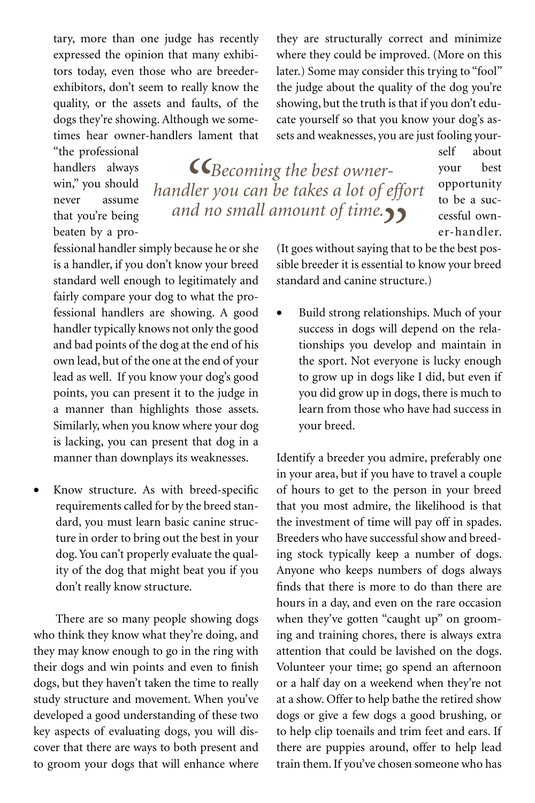tary, more than one judge has recently expressed the opinion that many exhibitors today, even those who are breederexhibitors, don't seem to really know the quality, or the assets and faults, of the dogs they're showing. Although we sometimes hear owner-handlers lament that

"the professional handlers always win," you should never assume that you're being beaten by a pro-

*"Becoming the best ownerhandler you can be takes a lot of effort and no small amount of time."*

self about your best opportunity to be a successful owner-handler.

fessional handler simply because he or she is a handler, if you don't know your breed standard well enough to legitimately and fairly compare your dog to what the professional handlers are showing. A good handler typically knows not only the good and bad points of the dog at the end of his own lead, but of the one at the end of your lead as well. If you know your dog's good points, you can present it to the judge in a manner than highlights those assets. Similarly, when you know where your dog is lacking, you can present that dog in a manner than downplays its weaknesses.

Know structure. As with breed-specific requirements called for by the breed standard, you must learn basic canine structure in order to bring out the best in your dog. You can't properly evaluate the quality of the dog that might beat you if you don't really know structure.

There are so many people showing dogs who think they know what they're doing, and they may know enough to go in the ring with their dogs and win points and even to finish dogs, but they haven't taken the time to really study structure and movement. When you've developed a good understanding of these two key aspects of evaluating dogs, you will discover that there are ways to both present and to groom your dogs that will enhance where (It goes without saying that to be the best possible breeder it is essential to know your breed standard and canine structure.)

they are structurally correct and minimize where they could be improved. (More on this later.) Some may consider this trying to "fool" the judge about the quality of the dog you're showing, but the truth is that if you don't educate yourself so that you know your dog's assets and weaknesses, you are just fooling your-

Build strong relationships. Much of your success in dogs will depend on the relationships you develop and maintain in the sport. Not everyone is lucky enough to grow up in dogs like I did, but even if you did grow up in dogs, there is much to learn from those who have had success in your breed.

Identify a breeder you admire, preferably one in your area, but if you have to travel a couple of hours to get to the person in your breed that you most admire, the likelihood is that the investment of time will pay off in spades. Breeders who have successful show and breeding stock typically keep a number of dogs. Anyone who keeps numbers of dogs always finds that there is more to do than there are hours in a day, and even on the rare occasion when they've gotten "caught up" on grooming and training chores, there is always extra attention that could be lavished on the dogs. Volunteer your time; go spend an afternoon or a half day on a weekend when they're not at a show. Offer to help bathe the retired show dogs or give a few dogs a good brushing, or to help clip toenails and trim feet and ears. If there are puppies around, offer to help lead train them. If you've chosen someone who has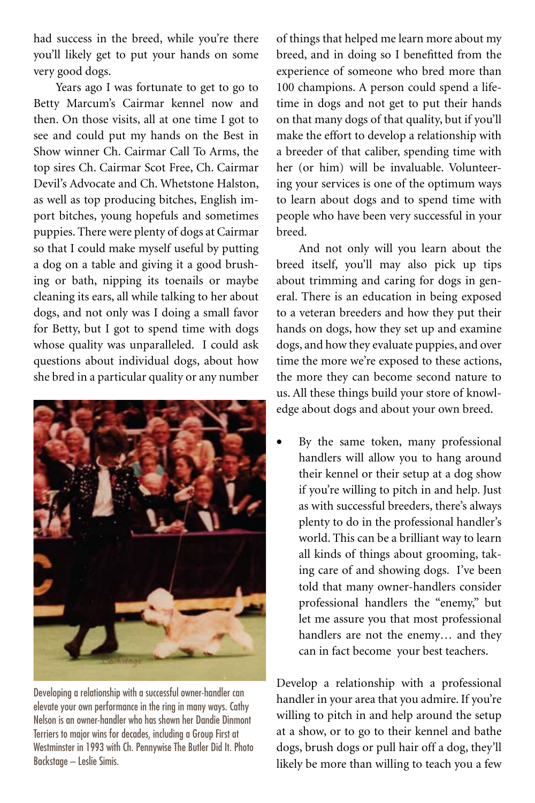had success in the breed, while you're there you'll likely get to put your hands on some very good dogs.

Years ago I was fortunate to get to go to Betty Marcum's Cairmar kennel now and then. On those visits, all at one time I got to see and could put my hands on the Best in Show winner Ch. Cairmar Call To Arms, the top sires Ch. Cairmar Scot Free, Ch. Cairmar Devil's Advocate and Ch. Whetstone Halston, as well as top producing bitches, English import bitches, young hopefuls and sometimes puppies. There were plenty of dogs at Cairmar so that I could make myself useful by putting a dog on a table and giving it a good brushing or bath, nipping its toenails or maybe cleaning its ears, all while talking to her about dogs, and not only was I doing a small favor for Betty, but I got to spend time with dogs whose quality was unparalleled. I could ask questions about individual dogs, about how she bred in a particular quality or any number



Developing a relationship with a successful owner-handler can elevate your own performance in the ring in many ways. Cathy Nelson is an owner-handler who has shown her Dandie Dinmont Terriers to major wins for decades, including a Group First at Westminster in 1993 with Ch. Pennywise The Butler Did It. Photo Backstage – Leslie Simis.

of things that helped me learn more about my breed, and in doing so I benefitted from the experience of someone who bred more than 100 champions. A person could spend a lifetime in dogs and not get to put their hands on that many dogs of that quality, but if you'll make the effort to develop a relationship with a breeder of that caliber, spending time with her (or him) will be invaluable. Volunteering your services is one of the optimum ways to learn about dogs and to spend time with people who have been very successful in your breed.

And not only will you learn about the breed itself, you'll may also pick up tips about trimming and caring for dogs in general. There is an education in being exposed to a veteran breeders and how they put their hands on dogs, how they set up and examine dogs, and how they evaluate puppies, and over time the more we're exposed to these actions, the more they can become second nature to us. All these things build your store of knowledge about dogs and about your own breed.

By the same token, many professional handlers will allow you to hang around their kennel or their setup at a dog show if you're willing to pitch in and help. Just as with successful breeders, there's always plenty to do in the professional handler's world. This can be a brilliant way to learn all kinds of things about grooming, taking care of and showing dogs. I've been told that many owner-handlers consider professional handlers the "enemy," but let me assure you that most professional handlers are not the enemy… and they can in fact become your best teachers.

Develop a relationship with a professional handler in your area that you admire. If you're willing to pitch in and help around the setup at a show, or to go to their kennel and bathe dogs, brush dogs or pull hair off a dog, they'll likely be more than willing to teach you a few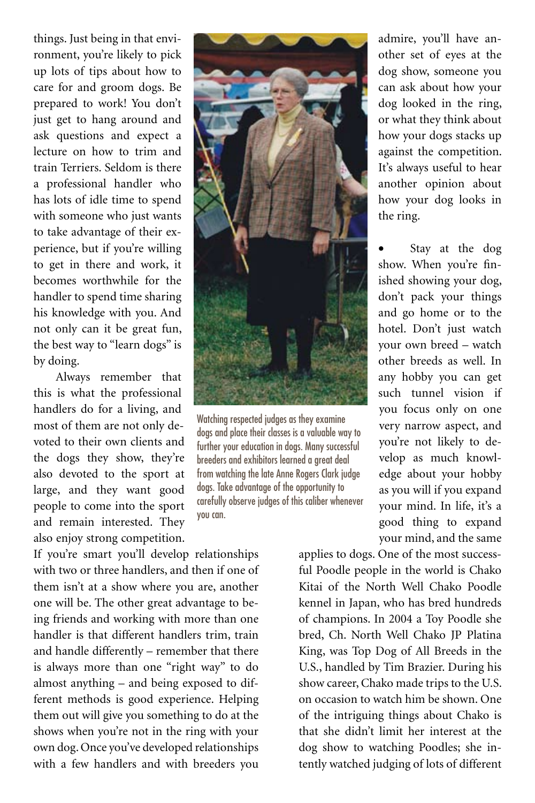things. Just being in that environment, you're likely to pick up lots of tips about how to care for and groom dogs. Be prepared to work! You don't just get to hang around and ask questions and expect a lecture on how to trim and train Terriers. Seldom is there a professional handler who has lots of idle time to spend with someone who just wants to take advantage of their experience, but if you're willing to get in there and work, it becomes worthwhile for the handler to spend time sharing his knowledge with you. And not only can it be great fun, the best way to "learn dogs" is by doing.

Always remember that this is what the professional handlers do for a living, and most of them are not only devoted to their own clients and the dogs they show, they're also devoted to the sport at large, and they want good people to come into the sport and remain interested. They also enjoy strong competition.

If you're smart you'll develop relationships with two or three handlers, and then if one of them isn't at a show where you are, another one will be. The other great advantage to being friends and working with more than one handler is that different handlers trim, train and handle differently – remember that there is always more than one "right way" to do almost anything – and being exposed to different methods is good experience. Helping them out will give you something to do at the shows when you're not in the ring with your own dog. Once you've developed relationships with a few handlers and with breeders you



Watching respected judges as they examine dogs and place their classes is a valuable way to further your education in dogs. Many successful breeders and exhibitors learned a great deal from watching the late Anne Rogers Clark judge dogs. Take advantage of the opportunity to carefully observe judges of this caliber whenever you can.

admire, you'll have another set of eyes at the dog show, someone you can ask about how your dog looked in the ring, or what they think about how your dogs stacks up against the competition. It's always useful to hear another opinion about how your dog looks in the ring.

Stay at the dog show. When you're finished showing your dog, don't pack your things and go home or to the hotel. Don't just watch your own breed – watch other breeds as well. In any hobby you can get such tunnel vision if you focus only on one very narrow aspect, and you're not likely to develop as much knowledge about your hobby as you will if you expand your mind. In life, it's a good thing to expand your mind, and the same

applies to dogs. One of the most successful Poodle people in the world is Chako Kitai of the North Well Chako Poodle kennel in Japan, who has bred hundreds of champions. In 2004 a Toy Poodle she bred, Ch. North Well Chako JP Platina King, was Top Dog of All Breeds in the U.S., handled by Tim Brazier. During his show career, Chako made trips to the U.S. on occasion to watch him be shown. One of the intriguing things about Chako is that she didn't limit her interest at the dog show to watching Poodles; she intently watched judging of lots of different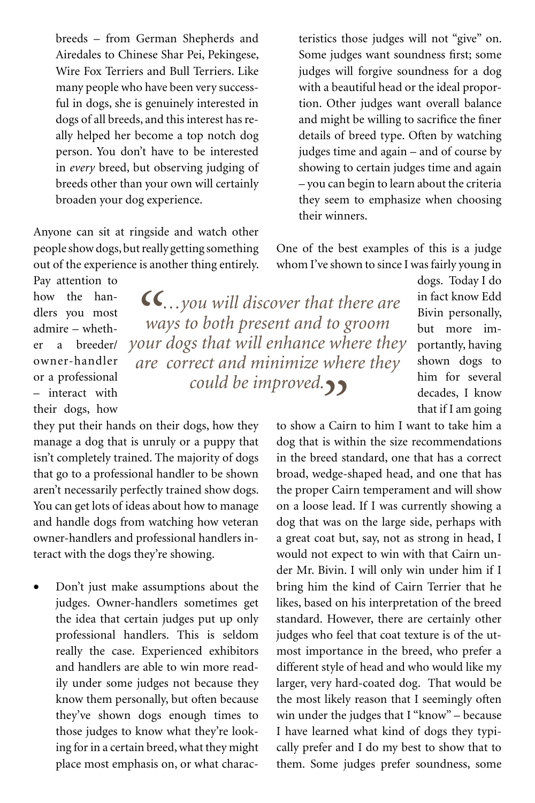breeds – from German Shepherds and Airedales to Chinese Shar Pei, Pekingese, Wire Fox Terriers and Bull Terriers. Like many people who have been very successful in dogs, she is genuinely interested in dogs of all breeds, and this interest has really helped her become a top notch dog person. You don't have to be interested in *every* breed, but observing judging of breeds other than your own will certainly broaden your dog experience.

Anyone can sit at ringside and watch other people show dogs, but really getting something out of the experience is another thing entirely. Pay attention to

how the handlers you most admire – whether a breeder/ owner-handler or a professional – interact with their dogs, how

*"…you will discover that there are ways to both present and to groom your dogs that will enhance where they are correct and minimize where they could be improved."*

teristics those judges will not "give" on. Some judges want soundness first; some judges will forgive soundness for a dog with a beautiful head or the ideal proportion. Other judges want overall balance and might be willing to sacrifice the finer details of breed type. Often by watching judges time and again – and of course by showing to certain judges time and again – you can begin to learn about the criteria they seem to emphasize when choosing their winners.

One of the best examples of this is a judge whom I've shown to since I was fairly young in

dogs. Today I do in fact know Edd Bivin personally, but more importantly, having shown dogs to him for several decades, I know that if I am going

to show a Cairn to him I want to take him a dog that is within the size recommendations in the breed standard, one that has a correct broad, wedge-shaped head, and one that has the proper Cairn temperament and will show on a loose lead. If I was currently showing a dog that was on the large side, perhaps with a great coat but, say, not as strong in head, I would not expect to win with that Cairn under Mr. Bivin. I will only win under him if I bring him the kind of Cairn Terrier that he likes, based on his interpretation of the breed standard. However, there are certainly other judges who feel that coat texture is of the utmost importance in the breed, who prefer a different style of head and who would like my larger, very hard-coated dog. That would be the most likely reason that I seemingly often win under the judges that I "know" – because I have learned what kind of dogs they typically prefer and I do my best to show that to them. Some judges prefer soundness, some

they put their hands on their dogs, how they manage a dog that is unruly or a puppy that isn't completely trained. The majority of dogs that go to a professional handler to be shown aren't necessarily perfectly trained show dogs. You can get lots of ideas about how to manage and handle dogs from watching how veteran owner-handlers and professional handlers interact with the dogs they're showing.

Don't just make assumptions about the judges. Owner-handlers sometimes get the idea that certain judges put up only professional handlers. This is seldom really the case. Experienced exhibitors and handlers are able to win more readily under some judges not because they know them personally, but often because they've shown dogs enough times to those judges to know what they're looking for in a certain breed, what they might place most emphasis on, or what charac-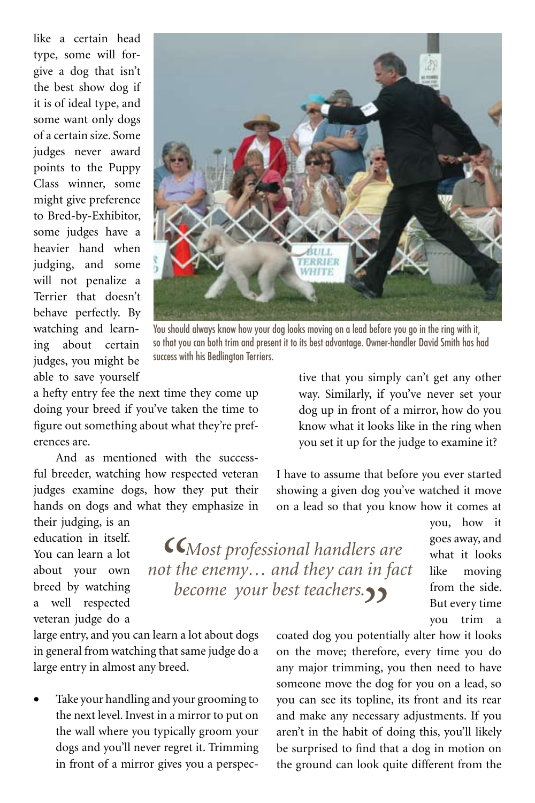like a certain head type, some will forgive a dog that isn't the best show dog if it is of ideal type, and some want only dogs of a certain size. Some judges never award points to the Puppy Class winner, some might give preference to Bred-by-Exhibitor, some judges have a heavier hand when judging, and some will not penalize a Terrier that doesn't behave perfectly. By watching and learning about certain judges, you might be able to save yourself



You should always know how your dog looks moving on a lead before you go in the ring with it, so that you can both trim and present it to its best advantage. Owner-handler David Smith has had success with his Bedlington Terriers.

*"Most professional handlers are not the enemy… and they can in fact become your best teachers.* 

a hefty entry fee the next time they come up doing your breed if you've taken the time to figure out something about what they're preferences are.

And as mentioned with the successful breeder, watching how respected veteran judges examine dogs, how they put their hands on dogs and what they emphasize in

their judging, is an education in itself. You can learn a lot about your own breed by watching a well respected veteran judge do a

large entry, and you can learn a lot about dogs in general from watching that same judge do a large entry in almost any breed.

Take your handling and your grooming to the next level. Invest in a mirror to put on the wall where you typically groom your dogs and you'll never regret it. Trimming in front of a mirror gives you a perspective that you simply can't get any other way. Similarly, if you've never set your dog up in front of a mirror, how do you know what it looks like in the ring when you set it up for the judge to examine it?

I have to assume that before you ever started showing a given dog you've watched it move on a lead so that you know how it comes at

> you, how it goes away, and what it looks like moving from the side. But every time you trim a

coated dog you potentially alter how it looks on the move; therefore, every time you do any major trimming, you then need to have someone move the dog for you on a lead, so you can see its topline, its front and its rear and make any necessary adjustments. If you aren't in the habit of doing this, you'll likely be surprised to find that a dog in motion on the ground can look quite different from the